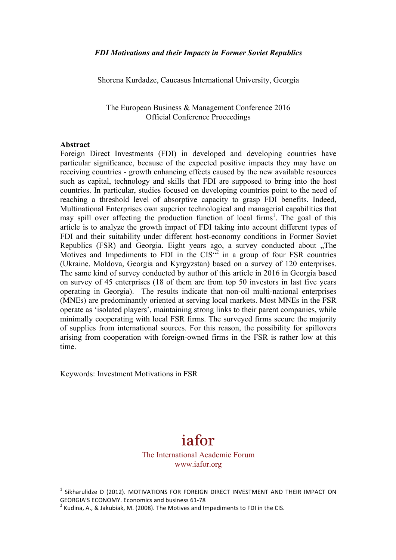Shorena Kurdadze, Caucasus International University, Georgia

The European Business & Management Conference 2016 Official Conference Proceedings

#### **Abstract**

Foreign Direct Investments (FDI) in developed and developing countries have particular significance, because of the expected positive impacts they may have on receiving countries - growth enhancing effects caused by the new available resources such as capital, technology and skills that FDI are supposed to bring into the host countries. In particular, studies focused on developing countries point to the need of reaching a threshold level of absorptive capacity to grasp FDI benefits. Indeed, Multinational Enterprises own superior technological and managerial capabilities that may spill over affecting the production function of local firms<sup>1</sup>. The goal of this article is to analyze the growth impact of FDI taking into account different types of FDI and their suitability under different host-economy conditions in Former Soviet Republics (FSR) and Georgia. Eight years ago, a survey conducted about .The Motives and Impediments to FDI in the  $CIS<sup>2</sup>$  in a group of four FSR countries (Ukraine, Moldova, Georgia and Kyrgyzstan) based on a survey of 120 enterprises. The same kind of survey conducted by author of this article in 2016 in Georgia based on survey of 45 enterprises (18 of them are from top 50 investors in last five years operating in Georgia). The results indicate that non-oil multi-national enterprises (MNEs) are predominantly oriented at serving local markets. Most MNEs in the FSR operate as 'isolated players', maintaining strong links to their parent companies, while minimally cooperating with local FSR firms. The surveyed firms secure the majority of supplies from international sources. For this reason, the possibility for spillovers arising from cooperation with foreign-owned firms in the FSR is rather low at this time.

Keywords: Investment Motivations in FSR

 

# iafor

The International Academic Forum www.iafor.org

Sikharulidze D (2012). MOTIVATIONS FOR FOREIGN DIRECT INVESTMENT AND THEIR IMPACT ON GEORGIA'S ECONOMY. Economics and business 61-78<br> $^2$  Kudina, A., & Jakubiak, M. (2008). The Motives and Impediments to FDI in the CIS.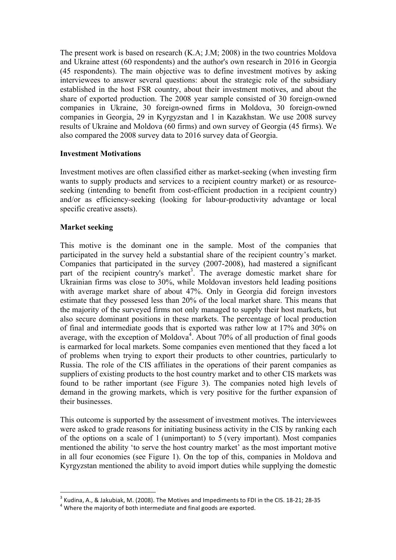The present work is based on research (K.A; J.M; 2008) in the two countries Moldova and Ukraine attest (60 respondents) and the author's own research in 2016 in Georgia (45 respondents). The main objective was to define investment motives by asking interviewees to answer several questions: about the strategic role of the subsidiary established in the host FSR country, about their investment motives, and about the share of exported production. The 2008 year sample consisted of 30 foreign-owned companies in Ukraine, 30 foreign-owned firms in Moldova, 30 foreign-owned companies in Georgia, 29 in Kyrgyzstan and 1 in Kazakhstan. We use 2008 survey results of Ukraine and Moldova (60 firms) and own survey of Georgia (45 firms). We also compared the 2008 survey data to 2016 survey data of Georgia.

## **Investment Motivations**

Investment motives are often classified either as market-seeking (when investing firm wants to supply products and services to a recipient country market) or as resourceseeking (intending to benefit from cost-efficient production in a recipient country) and/or as efficiency-seeking (looking for labour-productivity advantage or local specific creative assets).

## **Market seeking**

This motive is the dominant one in the sample. Most of the companies that participated in the survey held a substantial share of the recipient country's market. Companies that participated in the survey (2007-2008), had mastered a significant part of the recipient country's market<sup>3</sup>. The average domestic market share for Ukrainian firms was close to 30%, while Moldovan investors held leading positions with average market share of about 47%. Only in Georgia did foreign investors estimate that they possesed less than 20% of the local market share. This means that the majority of the surveyed firms not only managed to supply their host markets, but also secure dominant positions in these markets. The percentage of local production of final and intermediate goods that is exported was rather low at 17% and 30% on average, with the exception of Moldova<sup>4</sup>. About 70% of all production of final goods is earmarked for local markets. Some companies even mentioned that they faced a lot of problems when trying to export their products to other countries, particularly to Russia. The role of the CIS affiliates in the operations of their parent companies as suppliers of existing products to the host country market and to other CIS markets was found to be rather important (see Figure 3). The companies noted high levels of demand in the growing markets, which is very positive for the further expansion of their businesses.

This outcome is supported by the assessment of investment motives. The interviewees were asked to grade reasons for initiating business activity in the CIS by ranking each of the options on a scale of 1 (unimportant) to 5 (very important). Most companies mentioned the ability 'to serve the host country market' as the most important motive in all four economies (see Figure 1). On the top of this, companies in Moldova and Kyrgyzstan mentioned the ability to avoid import duties while supplying the domestic

 

<sup>&</sup>lt;sup>3</sup> Kudina, A., & Jakubiak, M. (2008). The Motives and Impediments to FDI in the CIS. 18-21; 28-35 4<br>Where the majority of both intermediate and final goods are exported.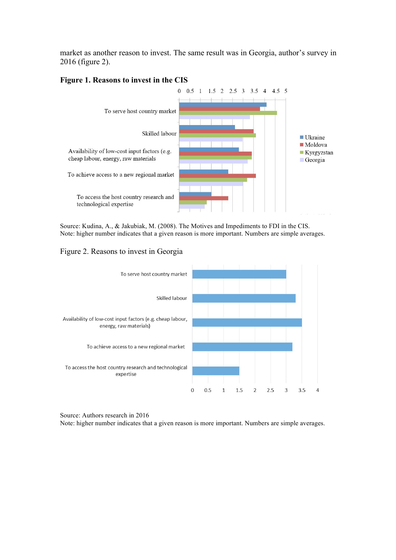market as another reason to invest. The same result was in Georgia, author's survey in 2016 (figure 2).

#### **Figure 1. Reasons to invest in the CIS**



Source: Kudina, A., & Jakubiak, M. (2008). The Motives and Impediments to FDI in the CIS. Note: higher number indicates that a given reason is more important. Numbers are simple averages.

#### Figure 2. Reasons to invest in Georgia



Source: Authors research in 2016

Note: higher number indicates that a given reason is more important. Numbers are simple averages.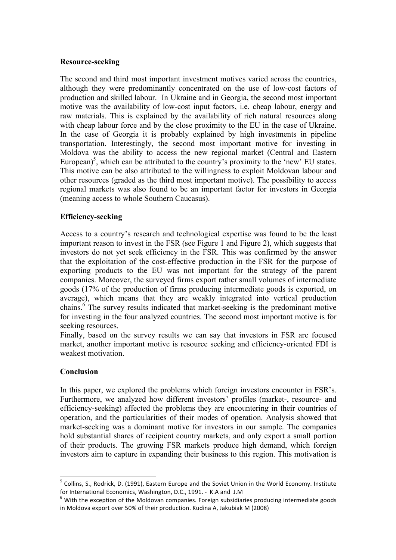#### **Resource-seeking**

The second and third most important investment motives varied across the countries, although they were predominantly concentrated on the use of low-cost factors of production and skilled labour. In Ukraine and in Georgia, the second most important motive was the availability of low-cost input factors, i.e. cheap labour, energy and raw materials. This is explained by the availability of rich natural resources along with cheap labour force and by the close proximity to the EU in the case of Ukraine. In the case of Georgia it is probably explained by high investments in pipeline transportation. Interestingly, the second most important motive for investing in Moldova was the ability to access the new regional market (Central and Eastern European)<sup>5</sup>, which can be attributed to the country's proximity to the 'new' EU states. This motive can be also attributed to the willingness to exploit Moldovan labour and other resources (graded as the third most important motive). The possibility to access regional markets was also found to be an important factor for investors in Georgia (meaning access to whole Southern Caucasus).

### **Efficiency-seeking**

Access to a country's research and technological expertise was found to be the least important reason to invest in the FSR (see Figure 1 and Figure 2), which suggests that investors do not yet seek efficiency in the FSR. This was confirmed by the answer that the exploitation of the cost-effective production in the FSR for the purpose of exporting products to the EU was not important for the strategy of the parent companies. Moreover, the surveyed firms export rather small volumes of intermediate goods (17% of the production of firms producing intermediate goods is exported, on average), which means that they are weakly integrated into vertical production chains.6 The survey results indicated that market-seeking is the predominant motive for investing in the four analyzed countries. The second most important motive is for seeking resources.

Finally, based on the survey results we can say that investors in FSR are focused market, another important motive is resource seeking and efficiency-oriented FDI is weakest motivation.

## **Conclusion**

 

In this paper, we explored the problems which foreign investors encounter in FSR's. Furthermore, we analyzed how different investors' profiles (market-, resource- and efficiency-seeking) affected the problems they are encountering in their countries of operation, and the particularities of their modes of operation. Analysis showed that market-seeking was a dominant motive for investors in our sample. The companies hold substantial shares of recipient country markets, and only export a small portion of their products. The growing FSR markets produce high demand, which foreign investors aim to capture in expanding their business to this region. This motivation is

 $5$  Collins, S., Rodrick, D. (1991), Eastern Europe and the Soviet Union in the World Economy. Institute for International Economics, Washington, D.C., 1991. - K.A and J.M 6 Unternational Economics, Washington of the Moldovan companies. Foreign subsidiaries producing intermediate goods

in Moldova export over 50% of their production. Kudina A, Jakubiak M (2008)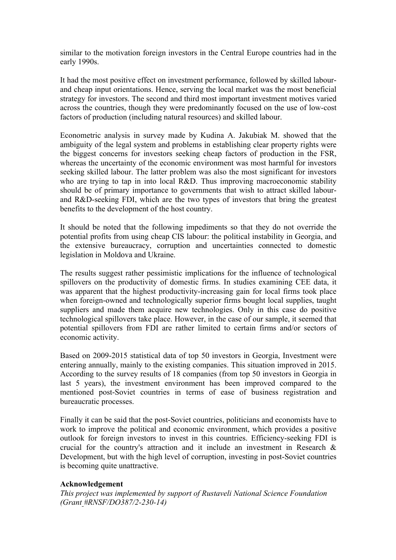similar to the motivation foreign investors in the Central Europe countries had in the early 1990s.

It had the most positive effect on investment performance, followed by skilled labourand cheap input orientations. Hence, serving the local market was the most beneficial strategy for investors. The second and third most important investment motives varied across the countries, though they were predominantly focused on the use of low-cost factors of production (including natural resources) and skilled labour.

Econometric analysis in survey made by Kudina A. Jakubiak M. showed that the ambiguity of the legal system and problems in establishing clear property rights were the biggest concerns for investors seeking cheap factors of production in the FSR, whereas the uncertainty of the economic environment was most harmful for investors seeking skilled labour. The latter problem was also the most significant for investors who are trying to tap in into local R&D. Thus improving macroeconomic stability should be of primary importance to governments that wish to attract skilled labourand R&D-seeking FDI, which are the two types of investors that bring the greatest benefits to the development of the host country.

It should be noted that the following impediments so that they do not override the potential profits from using cheap CIS labour: the political instability in Georgia, and the extensive bureaucracy, corruption and uncertainties connected to domestic legislation in Moldova and Ukraine.

The results suggest rather pessimistic implications for the influence of technological spillovers on the productivity of domestic firms. In studies examining CEE data, it was apparent that the highest productivity-increasing gain for local firms took place when foreign-owned and technologically superior firms bought local supplies, taught suppliers and made them acquire new technologies. Only in this case do positive technological spillovers take place. However, in the case of our sample, it seemed that potential spillovers from FDI are rather limited to certain firms and/or sectors of economic activity.

Based on 2009-2015 statistical data of top 50 investors in Georgia, Investment were entering annually, mainly to the existing companies. This situation improved in 2015. According to the survey results of 18 companies (from top 50 investors in Georgia in last 5 years), the investment environment has been improved compared to the mentioned post-Soviet countries in terms of ease of business registration and bureaucratic processes.

Finally it can be said that the post-Soviet countries, politicians and economists have to work to improve the political and economic environment, which provides a positive outlook for foreign investors to invest in this countries. Efficiency-seeking FDI is crucial for the country's attraction and it include an investment in Research & Development, but with the high level of corruption, investing in post-Soviet countries is becoming quite unattractive.

### **Acknowledgement**

*This project was implemented by support of Rustaveli National Science Foundation (Grant #RNSF/DO387/2-230-14)*